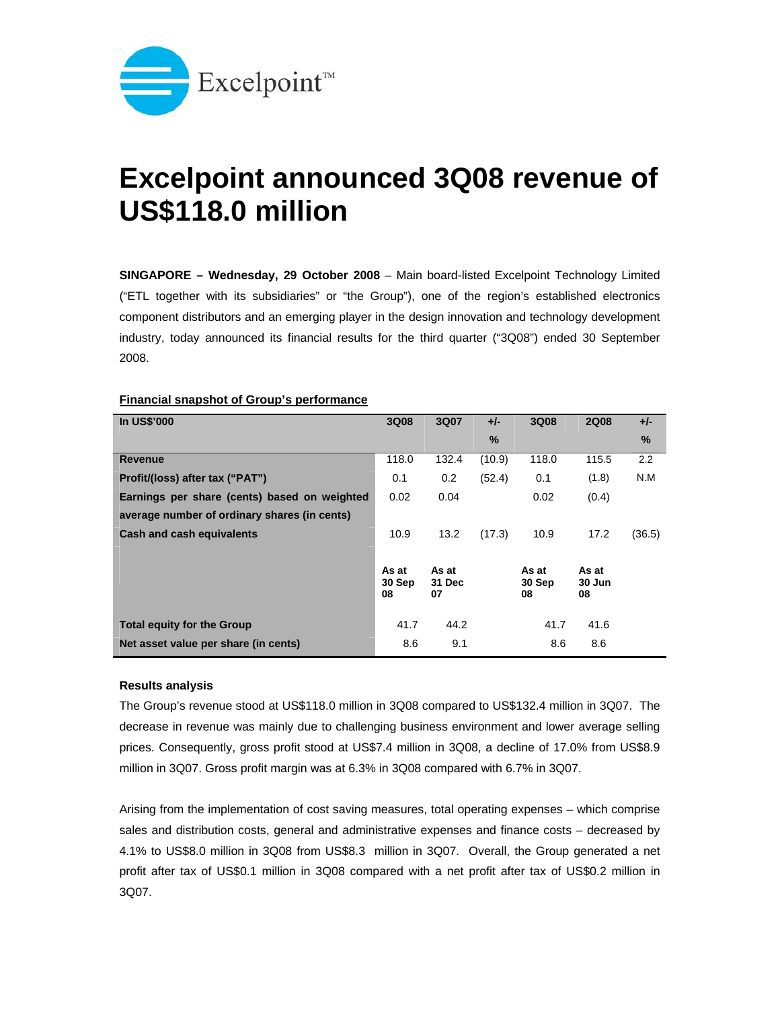

## **Excelpoint announced 3Q08 revenue of US\$118.0 million**

**SINGAPORE – Wednesday, 29 October 2008** – Main board-listed Excelpoint Technology Limited ("ETL together with its subsidiaries" or "the Group"), one of the region's established electronics component distributors and an emerging player in the design innovation and technology development industry, today announced its financial results for the third quarter ("3Q08") ended 30 September 2008.

| <b>In US\$'000</b>                           | 3Q08         | 3Q07         | $+/-$  | 3Q08         | <b>2Q08</b>  | $+/-$  |
|----------------------------------------------|--------------|--------------|--------|--------------|--------------|--------|
|                                              |              |              | $\%$   |              |              | $\%$   |
| <b>Revenue</b>                               | 118.0        | 132.4        | (10.9) | 118.0        | 115.5        | 2.2    |
| Profit/(loss) after tax ("PAT")              | 0.1          | 0.2          | (52.4) | 0.1          | (1.8)        | N.M    |
| Earnings per share (cents) based on weighted | 0.02         | 0.04         |        | 0.02         | (0.4)        |        |
| average number of ordinary shares (in cents) |              |              |        |              |              |        |
| Cash and cash equivalents                    | 10.9         | 13.2         | (17.3) | 10.9         | 17.2         | (36.5) |
|                                              |              |              |        |              |              |        |
|                                              | As at        | As at        |        | As at        | As at        |        |
|                                              | 30 Sep<br>08 | 31 Dec<br>07 |        | 30 Sep<br>08 | 30 Jun<br>08 |        |
|                                              |              |              |        |              |              |        |
| <b>Total equity for the Group</b>            | 41.7         | 44.2         |        | 41.7         | 41.6         |        |
| Net asset value per share (in cents)         | 8.6          | 9.1          |        | 8.6          | 8.6          |        |

## **Financial snapshot of Group's performance**

## **Results analysis**

The Group's revenue stood at US\$118.0 million in 3Q08 compared to US\$132.4 million in 3Q07. The decrease in revenue was mainly due to challenging business environment and lower average selling prices. Consequently, gross profit stood at US\$7.4 million in 3Q08, a decline of 17.0% from US\$8.9 million in 3Q07. Gross profit margin was at 6.3% in 3Q08 compared with 6.7% in 3Q07.

Arising from the implementation of cost saving measures, total operating expenses – which comprise sales and distribution costs, general and administrative expenses and finance costs – decreased by 4.1% to US\$8.0 million in 3Q08 from US\$8.3 million in 3Q07. Overall, the Group generated a net profit after tax of US\$0.1 million in 3Q08 compared with a net profit after tax of US\$0.2 million in 3Q07.